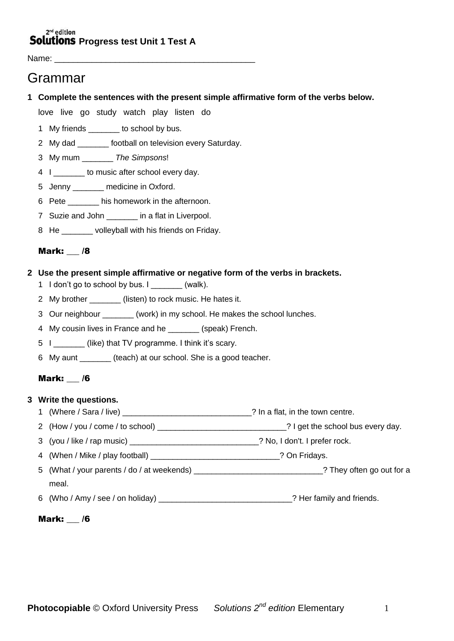#### $2<sup>nd</sup>$  edition **Solutions** Progress test Unit 1 Test A

Name:  $\blacksquare$ 

## Grammar

#### **1 Complete the sentences with the present simple affirmative form of the verbs below.**

love live go study watch play listen do

- 1 My friends \_\_\_\_\_\_\_ to school by bus.
- 2 My dad \_\_\_\_\_\_\_ football on television every Saturday.
- 3 My mum \_\_\_\_\_\_\_ *The Simpsons*!
- 4 | \_\_\_\_\_\_\_ to music after school every day.
- 5 Jenny \_\_\_\_\_\_\_ medicine in Oxford.
- 6 Pete \_\_\_\_\_\_\_ his homework in the afternoon.
- 7 Suzie and John in a flat in Liverpool.
- 8 He volleyball with his friends on Friday.

#### Mark: /8

#### **2 Use the present simple affirmative or negative form of the verbs in brackets.**

- 1 I don't go to school by bus. I \_\_\_\_\_\_\_ (walk).
- 2 My brother \_\_\_\_\_\_\_ (listen) to rock music. He hates it.
- 3 Our neighbour (work) in my school. He makes the school lunches.
- 4 My cousin lives in France and he (speak) French.
- 5 I \_\_\_\_\_\_\_ (like) that TV programme. I think it's scary.
- 6 My aunt \_\_\_\_\_\_\_ (teach) at our school. She is a good teacher.

#### Mark: \_\_\_ /6

#### **3 Write the questions.**

- 1 (Where / Sara / live) \_\_\_\_\_\_\_\_\_\_\_\_\_\_\_\_\_\_\_\_\_\_\_\_\_\_\_\_\_? In a flat, in the town centre.
- 2 (How / you / come / to school) \_\_\_\_\_\_\_\_\_\_\_\_\_\_\_\_\_\_\_\_\_\_\_\_\_\_\_\_\_? I get the school bus every day.
- 3 (you / like / rap music) \_\_\_\_\_\_\_\_\_\_\_\_\_\_\_\_\_\_\_\_\_\_\_\_\_\_\_\_\_? No, I don't. I prefer rock.
- 4 (When / Mike / play football) \_\_\_\_\_\_\_\_\_\_\_\_\_\_\_\_\_\_\_\_\_\_\_\_\_\_\_\_\_? On Fridays.
- 5 (What / your parents / do / at weekends) \_\_\_\_\_\_\_\_\_\_\_\_\_\_\_\_\_\_\_\_\_\_\_\_\_\_\_\_\_? They often go out for a meal.
- 6 (Who / Amy / see / on holiday) \_\_\_\_\_\_\_\_\_\_\_\_\_\_\_\_\_\_\_\_\_\_\_\_\_\_\_\_\_\_? Her family and friends.

#### Mark: /6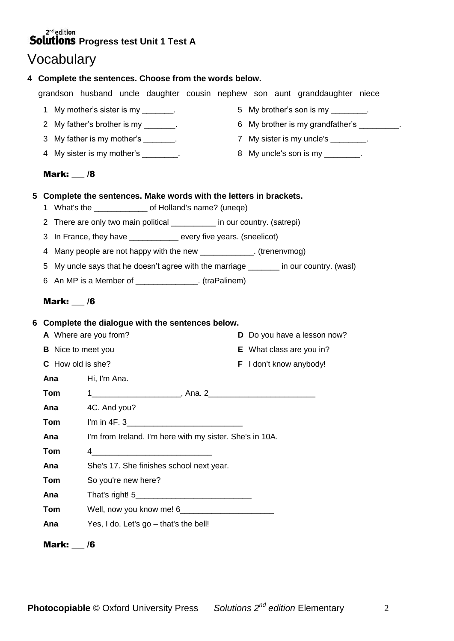# **Solution**<br>**Progress test Unit 1 Test A**

# Vocabulary

|                                                       |                                                                                                                                       | 4 Complete the sentences. Choose from the words below.                                                                          |  |  |                                 |  |  |                                           |  |  |
|-------------------------------------------------------|---------------------------------------------------------------------------------------------------------------------------------------|---------------------------------------------------------------------------------------------------------------------------------|--|--|---------------------------------|--|--|-------------------------------------------|--|--|
|                                                       |                                                                                                                                       | grandson husband uncle daughter cousin nephew son aunt granddaughter niece                                                      |  |  |                                 |  |  |                                           |  |  |
|                                                       |                                                                                                                                       | 1 My mother's sister is my _______.                                                                                             |  |  |                                 |  |  | 5 My brother's son is my ________.        |  |  |
|                                                       |                                                                                                                                       | 2 My father's brother is my                                                                                                     |  |  | 6                               |  |  | My brother is my grandfather's _________. |  |  |
|                                                       |                                                                                                                                       | 3 My father is my mother's _______.                                                                                             |  |  |                                 |  |  | 7 My sister is my uncle's ________.       |  |  |
|                                                       |                                                                                                                                       | 4 My sister is my mother's ________.                                                                                            |  |  |                                 |  |  | 8 My uncle's son is my _________.         |  |  |
|                                                       | Mark: $\_\!\_$ /8                                                                                                                     |                                                                                                                                 |  |  |                                 |  |  |                                           |  |  |
| 5                                                     |                                                                                                                                       | Complete the sentences. Make words with the letters in brackets.<br>1 What's the ___________________ of Holland's name? (uneqe) |  |  |                                 |  |  |                                           |  |  |
|                                                       | 2 There are only two main political ________ in our country. (satrepi)                                                                |                                                                                                                                 |  |  |                                 |  |  |                                           |  |  |
|                                                       | In France, they have __________ every five years. (sneelicot)<br>3                                                                    |                                                                                                                                 |  |  |                                 |  |  |                                           |  |  |
|                                                       | Many people are not happy with the new ____________. (trenenymog)<br>4                                                                |                                                                                                                                 |  |  |                                 |  |  |                                           |  |  |
|                                                       | My uncle says that he doesn't agree with the marriage _______ in our country. (wasl)<br>5                                             |                                                                                                                                 |  |  |                                 |  |  |                                           |  |  |
|                                                       |                                                                                                                                       | 6 An MP is a Member of ______________. (traPalinem)                                                                             |  |  |                                 |  |  |                                           |  |  |
| Mark: $\_\$ /6                                        |                                                                                                                                       |                                                                                                                                 |  |  |                                 |  |  |                                           |  |  |
| Complete the dialogue with the sentences below.<br>6. |                                                                                                                                       |                                                                                                                                 |  |  |                                 |  |  |                                           |  |  |
|                                                       |                                                                                                                                       | A Where are you from?                                                                                                           |  |  | D Do you have a lesson now?     |  |  |                                           |  |  |
|                                                       |                                                                                                                                       | <b>B</b> Nice to meet you                                                                                                       |  |  | <b>E</b> What class are you in? |  |  |                                           |  |  |
|                                                       | C How old is she?                                                                                                                     |                                                                                                                                 |  |  | <b>F</b> I don't know anybody!  |  |  |                                           |  |  |
|                                                       | Ana                                                                                                                                   | Hi, I'm Ana.                                                                                                                    |  |  |                                 |  |  |                                           |  |  |
|                                                       | Tom                                                                                                                                   |                                                                                                                                 |  |  |                                 |  |  |                                           |  |  |
|                                                       | Ana<br>4C. And you?                                                                                                                   |                                                                                                                                 |  |  |                                 |  |  |                                           |  |  |
|                                                       | Tom<br>I'm from Ireland. I'm here with my sister. She's in 10A.<br>Ana<br>Tom<br>4<br>She's 17. She finishes school next year.<br>Ana |                                                                                                                                 |  |  |                                 |  |  |                                           |  |  |
|                                                       |                                                                                                                                       |                                                                                                                                 |  |  |                                 |  |  |                                           |  |  |
|                                                       |                                                                                                                                       |                                                                                                                                 |  |  |                                 |  |  |                                           |  |  |
|                                                       |                                                                                                                                       |                                                                                                                                 |  |  |                                 |  |  |                                           |  |  |
|                                                       | Tom<br>So you're new here?<br>Ana<br>Tom                                                                                              |                                                                                                                                 |  |  |                                 |  |  |                                           |  |  |
|                                                       |                                                                                                                                       |                                                                                                                                 |  |  |                                 |  |  |                                           |  |  |
|                                                       |                                                                                                                                       |                                                                                                                                 |  |  |                                 |  |  |                                           |  |  |
| Yes, I do. Let's go - that's the bell!<br>Ana         |                                                                                                                                       |                                                                                                                                 |  |  |                                 |  |  |                                           |  |  |
|                                                       | Mark:<br>/6                                                                                                                           |                                                                                                                                 |  |  |                                 |  |  |                                           |  |  |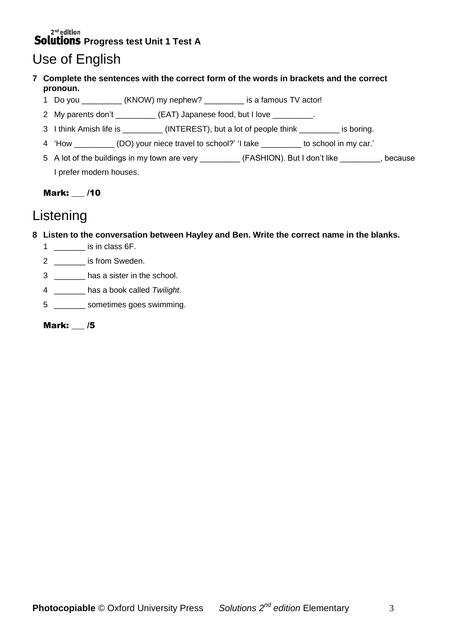## $2<sup>nd</sup>$  edition **Solutions** Progress test Unit 1 Test A Use of English

- **7 Complete the sentences with the correct form of the words in brackets and the correct pronoun.**
	- 1 Do you \_\_\_\_\_\_\_\_\_ (KNOW) my nephew? \_\_\_\_\_\_\_\_\_ is a famous TV actor!
	- 2 My parents don't \_\_\_\_\_\_\_\_\_ (EAT) Japanese food, but I love \_\_\_\_\_\_\_\_\_.
	- 3 I think Amish life is \_\_\_\_\_\_\_\_\_\_ (INTEREST), but a lot of people think \_\_\_\_\_\_\_\_ is boring.
	- 4 'How (DO) your niece travel to school?' 'I take to school in my car.'
	- 5 A lot of the buildings in my town are very \_\_\_\_\_\_\_\_\_ (FASHION). But I don't like \_\_\_\_\_\_\_\_, because I prefer modern houses.

#### Mark: \_\_\_ /10

# Listening

- **8 Listen to the conversation between Hayley and Ben. Write the correct name in the blanks.** 
	- 1 **is in class 6F.**
	- 2 \_\_\_\_\_\_\_ is from Sweden.
	- 3 \_\_\_\_\_\_\_ has a sister in the school.
	- 4 \_\_\_\_\_\_\_ has a book called *Twilight*.
	- 5 \_\_\_\_\_\_\_ sometimes goes swimming.

#### Mark: \_\_\_ /5